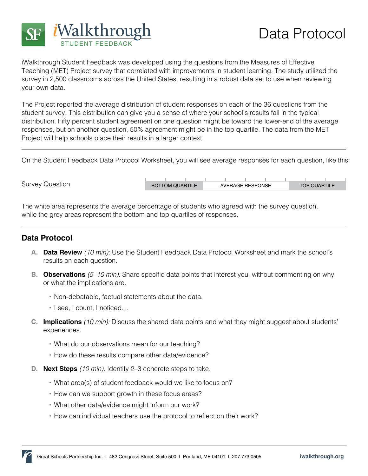

iWalkthrough Student Feedback was developed using the questions from the Measures of Effective Teaching (MET) Project survey that correlated with improvements in student learning. The study utilized the survey in 2,500 classrooms across the United States, resulting in a robust data set to use when reviewing your own data.

The Project reported the average distribution of student responses on each of the 36 questions from the student survey. This distribution can give you a sense of where your school's results fall in the typical distribution. Fifty percent student agreement on one question might be toward the lower-end of the average responses, but on another question, 50% agreement might be in the top quartile. The data from the MET Project will help schools place their results in a larger context.

On the Student Feedback Data Protocol Worksheet, you will see average responses for each question, like this:

Survey Question

| <b>BOTTOM QUARTILE</b> | AVERAGE RESPONSE |  | <b>TOP QUARTILE</b> |
|------------------------|------------------|--|---------------------|

The white area represents the average percentage of students who agreed with the survey question, while the grey areas represent the bottom and top quartiles of responses.

## **Data Protocol**

- **A. Data Review** *(10 min):* Use the Student Feedback Data Protocol Worksheet and mark the school's results on each question.
- **B. Observations** *(5–10 min):* Share specific data points that interest you, without commenting on why or what the implications are.
	- **•** Non-debatable, factual statements about the data.
	- **•** I see, I count, I noticed…
- **C. Implications** *(10 min):* Discuss the shared data points and what they might suggest about students' experiences.
	- **•** What do our observations mean for our teaching?
	- **•** How do these results compare other data/evidence?
- **D. Next Steps** *(10 min):* Identify 2–3 concrete steps to take.
	- **•** What area(s) of student feedback would we like to focus on?
	- **•** How can we support growth in these focus areas?
	- **•** What other data/evidence might inform our work?
	- **•** How can individual teachers use the protocol to reflect on their work?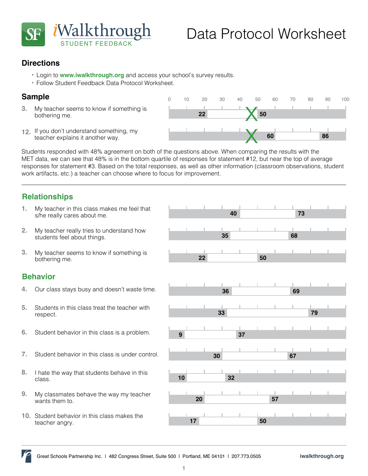

0 10 20 30 40 50 60 70 80 90 100

**22 50**

## **Directions**

- **•**  Login to **[www.iwalkthrough.org](http://www.iwalkthrough.org/)** and access your school's survey results.
- **•**  Follow Student Feedback Data Protocol Worksheet.

### **Sample**

- My teacher seems to know if something is bothering me. **3.**
- **<sup>60</sup> <sup>86</sup>** If you don't understand something, my **12.** teacher explains it another way.

Students responded with 48% agreement on both of the questions above. When comparing the results with the MET data, we can see that 48% is in the bottom quartile of responses for statement #12, but near the top of average responses for statement #3. Based on the total responses, as well as other information (classroom observations, student work artifacts, etc.) a teacher can choose where to focus for improvement.

# **Relationships**

- s/he really cares about me. **1.**
- students feel about things. **2.**
- **100 My teacher seems to know if something is**<br> **22 50** bothering me. **3.**

#### **Behavior**

- 
- Students in this class treat the teacher with respect. **5.**
- **6.** Student behavior in this class is a problem. **9 9 137**
- **7.** Student behavior in this class is under control. **30 67**
- **<sup>10</sup> <sup>32</sup>** I hate the way that students behave in this class. **8.**
- wants them to. **9.**
- **10.** Student behavior in this class makes the teacher angry.



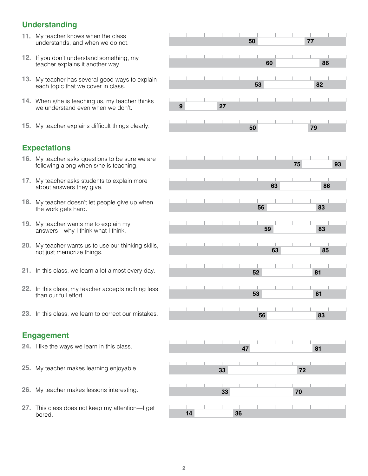## **Understanding**

- **11.** My teacher knows when the class
- teacher explains it another way.
- each topic that we cover in class.
- **14.** When s/he is teaching us, my teacher thinks  $\begin{array}{|c|c|c|c|c|c|}\n\hline\n\text{we understand even when we don't.} \end{array}$  **9** we understand even when we don't.
- **15.** My teacher explains difficult things clearly. **50 79**

## **Expectations**

- following along when s/he is teaching.
- about answers they give.
- the work gets hard.
- answers—why I think what I think.
- not just memorize things.
- **52 81 21.** In this class, we learn a lot almost every day.
- than our full effort.
- **23.** In this class, we learn to correct our mistakes. **56 83**

#### **Engagement**

- **24.** I like the ways we learn in this class.
- My teacher makes learning enjoyable. **33 72 25.**
- My teacher makes lessons interesting. **33 70 26.**
- **<sup>14</sup> <sup>36</sup>** This class does not keep my attention—I get **27.** bored.

|     | 11. My teacher knows when the class<br>understands, and when we do not.                   |  |    |    |    | 50 |    |    | 77 |    |
|-----|-------------------------------------------------------------------------------------------|--|----|----|----|----|----|----|----|----|
|     | 12. If you don't understand something, my<br>teacher explains it another way.             |  |    |    |    | 60 |    |    | 86 |    |
|     | 13. My teacher has several good ways to explain<br>each topic that we cover in class.     |  |    |    |    | 53 |    |    | 82 |    |
|     | 14. When s/he is teaching us, my teacher thinks<br>we understand even when we don't.      |  | 9  | 27 |    |    |    |    |    |    |
|     | 15. My teacher explains difficult things clearly.                                         |  |    |    |    | 50 |    |    | 79 |    |
|     | <b>Expectations</b>                                                                       |  |    |    |    |    |    |    |    |    |
|     | 16. My teacher asks questions to be sure we are<br>following along when s/he is teaching. |  |    |    |    |    |    | 75 |    | 93 |
|     | 17. My teacher asks students to explain more<br>about answers they give.                  |  |    |    |    |    | 63 |    | 86 |    |
|     | 18. My teacher doesn't let people give up when<br>the work gets hard.                     |  |    |    |    | 56 |    |    | 83 |    |
|     | 19. My teacher wants me to explain my<br>answers-why I think what I think.                |  |    |    |    | 59 |    |    | 83 |    |
| 20. | My teacher wants us to use our thinking skills,<br>not just memorize things.              |  |    |    |    |    | 63 |    | 85 |    |
|     | 21. In this class, we learn a lot almost every day.                                       |  |    |    |    | 52 |    |    | 81 |    |
|     | 22. In this class, my teacher accepts nothing less<br>than our full effort.               |  |    |    |    | 53 |    |    | 81 |    |
|     | 23. In this class, we learn to correct our mistakes.                                      |  |    |    |    | 56 |    |    | 83 |    |
|     | <b>Engagement</b>                                                                         |  |    |    |    |    |    |    |    |    |
|     | 24. I like the ways we learn in this class.                                               |  |    |    | 47 |    |    |    | 81 |    |
|     | 25. My teacher makes learning enjoyable.                                                  |  |    | 33 |    |    |    | 72 |    |    |
|     | 26. My teacher makes lessons interesting.                                                 |  |    | 33 |    |    |    | 70 |    |    |
|     | 27. This class does not keep my attention—I get                                           |  | 14 |    | 36 |    |    |    |    |    |